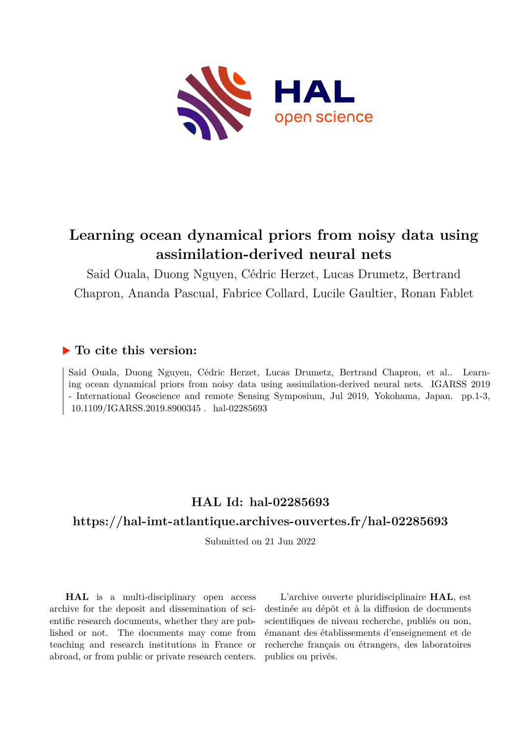

# **Learning ocean dynamical priors from noisy data using assimilation-derived neural nets**

Said Ouala, Duong Nguyen, Cédric Herzet, Lucas Drumetz, Bertrand Chapron, Ananda Pascual, Fabrice Collard, Lucile Gaultier, Ronan Fablet

## **To cite this version:**

Said Ouala, Duong Nguyen, Cédric Herzet, Lucas Drumetz, Bertrand Chapron, et al.. Learning ocean dynamical priors from noisy data using assimilation-derived neural nets. IGARSS 2019 - International Geoscience and remote Sensing Symposium, Jul 2019, Yokohama, Japan. pp.1-3, 10.1109/IGARSS.2019.8900345. hal-02285693

# **HAL Id: hal-02285693**

## **<https://hal-imt-atlantique.archives-ouvertes.fr/hal-02285693>**

Submitted on 21 Jun 2022

**HAL** is a multi-disciplinary open access archive for the deposit and dissemination of scientific research documents, whether they are published or not. The documents may come from teaching and research institutions in France or abroad, or from public or private research centers.

L'archive ouverte pluridisciplinaire **HAL**, est destinée au dépôt et à la diffusion de documents scientifiques de niveau recherche, publiés ou non, émanant des établissements d'enseignement et de recherche français ou étrangers, des laboratoires publics ou privés.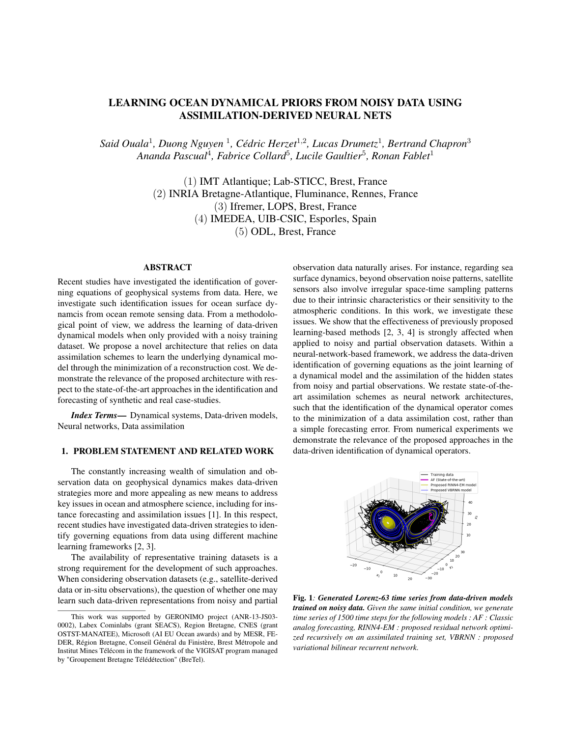#### LEARNING OCEAN DYNAMICAL PRIORS FROM NOISY DATA USING ASSIMILATION-DERIVED NEURAL NETS

Said Ouala<sup>1</sup>, Duong Nguyen <sup>1</sup>, Cédric Herzet<sup>1,2</sup>, Lucas Drumetz<sup>1</sup>, Bertrand Chapron<sup>3</sup> *Ananda Pascual*<sup>4</sup> *, Fabrice Collard*<sup>5</sup> *, Lucile Gaultier*<sup>5</sup> *, Ronan Fablet*<sup>1</sup>

> (1) IMT Atlantique; Lab-STICC, Brest, France (2) INRIA Bretagne-Atlantique, Fluminance, Rennes, France (3) Ifremer, LOPS, Brest, France (4) IMEDEA, UIB-CSIC, Esporles, Spain (5) ODL, Brest, France

#### **ABSTRACT**

Recent studies have investigated the identification of governing equations of geophysical systems from data. Here, we investigate such identification issues for ocean surface dynamcis from ocean remote sensing data. From a methodological point of view, we address the learning of data-driven dynamical models when only provided with a noisy training dataset. We propose a novel architecture that relies on data assimilation schemes to learn the underlying dynamical model through the minimization of a reconstruction cost. We demonstrate the relevance of the proposed architecture with respect to the state-of-the-art approaches in the identification and forecasting of synthetic and real case-studies.

*Index Terms*— Dynamical systems, Data-driven models, Neural networks, Data assimilation

#### 1. PROBLEM STATEMENT AND RELATED WORK

The constantly increasing wealth of simulation and observation data on geophysical dynamics makes data-driven strategies more and more appealing as new means to address key issues in ocean and atmosphere science, including for instance forecasting and assimilation issues [1]. In this respect, recent studies have investigated data-driven strategies to identify governing equations from data using different machine learning frameworks [2, 3].

The availability of representative training datasets is a strong requirement for the development of such approaches. When considering observation datasets (e.g., satellite-derived data or in-situ observations), the question of whether one may learn such data-driven representations from noisy and partial observation data naturally arises. For instance, regarding sea surface dynamics, beyond observation noise patterns, satellite sensors also involve irregular space-time sampling patterns due to their intrinsic characteristics or their sensitivity to the atmospheric conditions. In this work, we investigate these issues. We show that the effectiveness of previously proposed learning-based methods [2, 3, 4] is strongly affected when applied to noisy and partial observation datasets. Within a neural-network-based framework, we address the data-driven identification of governing equations as the joint learning of a dynamical model and the assimilation of the hidden states from noisy and partial observations. We restate state-of-theart assimilation schemes as neural network architectures, such that the identification of the dynamical operator comes to the minimization of a data assimilation cost, rather than a simple forecasting error. From numerical experiments we demonstrate the relevance of the proposed approaches in the data-driven identification of dynamical operators.



Fig. 1*: Generated Lorenz-63 time series from data-driven models trained on noisy data. Given the same initial condition, we generate time series of 1500 time steps for the following models : AF : Classic analog forecasting, RINN4-EM : proposed residual network optimized recursively on an assimilated training set, VBRNN : proposed variational bilinear recurrent network.*

This work was supported by GERONIMO project (ANR-13-JS03- 0002), Labex Cominlabs (grant SEACS), Region Bretagne, CNES (grant OSTST-MANATEE), Microsoft (AI EU Ocean awards) and by MESR, FE-DER, Région Bretagne, Conseil Général du Finistère, Brest Métropole and Institut Mines Télécom in the framework of the VIGISAT program managed by "Groupement Bretagne Télédétection" (BreTel).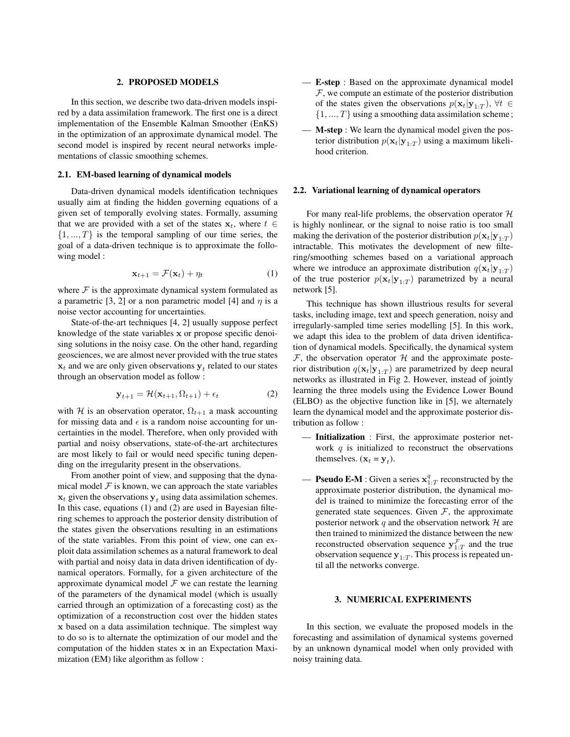#### 2. PROPOSED MODELS

In this section, we describe two data-driven models inspired by a data assimilation framework. The first one is a direct implementation of the Ensemble Kalman Smoother (EnKS) in the optimization of an approximate dynamical model. The second model is inspired by recent neural networks implementations of classic smoothing schemes.

#### 2.1. EM-based learning of dynamical models

Data-driven dynamical models identification techniques usually aim at finding the hidden governing equations of a given set of temporally evolving states. Formally, assuming that we are provided with a set of the states  $x_t$ , where  $t \in$  $\{1, ..., T\}$  is the temporal sampling of our time series, the goal of a data-driven technique is to approximate the following model :

$$
\mathbf{x}_{t+1} = \mathcal{F}(\mathbf{x}_t) + \eta_t \tag{1}
$$

where  $F$  is the approximate dynamical system formulated as a parametric [3, 2] or a non parametric model [4] and  $\eta$  is a noise vector accounting for uncertainties.

State-of-the-art techniques [4, 2] usually suppose perfect knowledge of the state variables x or propose specific denoising solutions in the noisy case. On the other hand, regarding geosciences, we are almost never provided with the true states  $\mathbf{x}_t$  and we are only given observations  $\mathbf{y}_t$  related to our states through an observation model as follow :

$$
\mathbf{y}_{t+1} = \mathcal{H}(\mathbf{x}_{t+1}, \Omega_{t+1}) + \epsilon_t \tag{2}
$$

with H is an observation operator,  $\Omega_{t+1}$  a mask accounting for missing data and  $\epsilon$  is a random noise accounting for uncertainties in the model. Therefore, when only provided with partial and noisy observations, state-of-the-art architectures are most likely to fail or would need specific tuning depending on the irregularity present in the observations.

From another point of view, and supposing that the dynamical model  $F$  is known, we can approach the state variables  $x_t$  given the observations  $y_t$  using data assimilation schemes. In this case, equations (1) and (2) are used in Bayesian filtering schemes to approach the posterior density distribution of the states given the observations resulting in an estimations of the state variables. From this point of view, one can exploit data assimilation schemes as a natural framework to deal with partial and noisy data in data driven identification of dynamical operators. Formally, for a given architecture of the approximate dynamical model  $\mathcal F$  we can restate the learning of the parameters of the dynamical model (which is usually carried through an optimization of a forecasting cost) as the optimization of a reconstruction cost over the hidden states x based on a data assimilation technique. The simplest way to do so is to alternate the optimization of our model and the computation of the hidden states x in an Expectation Maximization (EM) like algorithm as follow :

- E-step : Based on the approximate dynamical model  $F$ , we compute an estimate of the posterior distribution of the states given the observations  $p(\mathbf{x}_t|\mathbf{y}_{1:T})$ ,  $\forall t \in$  $\{1, ..., T\}$  using a smoothing data assimilation scheme;
- M-step : We learn the dynamical model given the posterior distribution  $p(\mathbf{x}_t|\mathbf{y}_{1:T})$  using a maximum likelihood criterion.

#### 2.2. Variational learning of dynamical operators

For many real-life problems, the observation operator  $H$ is highly nonlinear, or the signal to noise ratio is too small making the derivation of the posterior distribution  $p(\mathbf{x}_t|\mathbf{y}_{1:T})$ intractable. This motivates the development of new filtering/smoothing schemes based on a variational approach where we introduce an approximate distribution  $q(\mathbf{x}_t|\mathbf{y}_{1:T})$ of the true posterior  $p(\mathbf{x}_t | \mathbf{y}_{1:T})$  parametrized by a neural network [5].

This technique has shown illustrious results for several tasks, including image, text and speech generation, noisy and irregularly-sampled time series modelling [5]. In this work, we adapt this idea to the problem of data driven identification of dynamical models. Specifically, the dynamical system  $\mathcal F$ , the observation operator  $\mathcal H$  and the approximate posterior distribution  $q(\mathbf{x}_t|\mathbf{y}_{1:T})$  are parametrized by deep neural networks as illustrated in Fig 2. However, instead of jointly learning the three models using the Evidence Lower Bound (ELBO) as the objective function like in [5], we alternately learn the dynamical model and the approximate posterior distribution as follow :

- Initialization : First, the approximate posterior network  $q$  is initialized to reconstruct the observations themselves.  $(\mathbf{x}_t = \mathbf{y}_t)$ .
- **Pseudo E-M** : Given a series  $x_{1:T}^q$  reconstructed by the approximate posterior distribution, the dynamical model is trained to minimize the forecasting error of the generated state sequences. Given  $F$ , the approximate posterior network  $q$  and the observation network  $H$  are then trained to minimized the distance between the new reconstructed observation sequence  $y_{1:T}^{\mathcal{F}}$  and the true observation sequence  $y_{1:T}$ . This process is repeated until all the networks converge.

#### 3. NUMERICAL EXPERIMENTS

In this section, we evaluate the proposed models in the forecasting and assimilation of dynamical systems governed by an unknown dynamical model when only provided with noisy training data.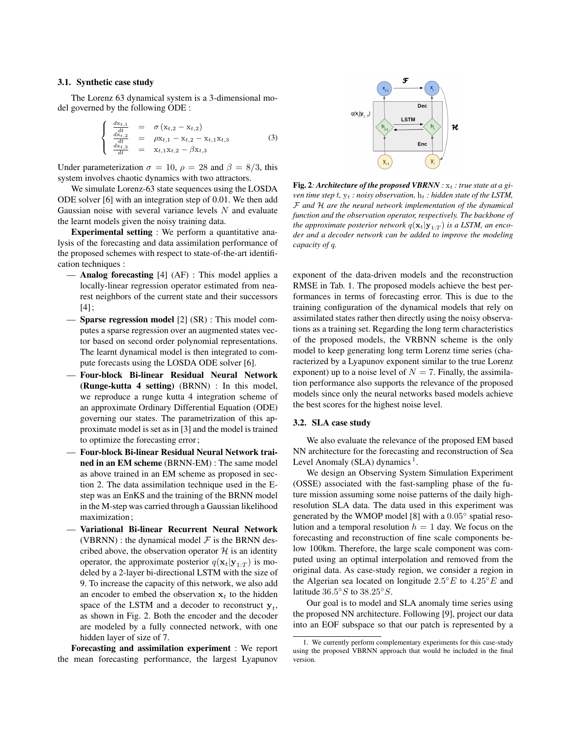#### 3.1. Synthetic case study

The Lorenz 63 dynamical system is a 3-dimensional model governed by the following ODE :

$$
\begin{cases}\n\frac{dx_{t,1}}{dt} = \sigma(x_{t,2} - x_{t,2}) \\
\frac{dx_{t,2}}{dt} = \rho x_{t,1} - x_{t,2} - x_{t,1}x_{t,3} \\
\frac{dx_{t,3}}{dt} = x_{t,1}x_{t,2} - \beta x_{t,3}\n\end{cases}
$$
\n(3)

Under parameterization  $\sigma = 10$ ,  $\rho = 28$  and  $\beta = 8/3$ , this system involves chaotic dynamics with two attractors.

We simulate Lorenz-63 state sequences using the LOSDA ODE solver [6] with an integration step of 0.01. We then add Gaussian noise with several variance levels  $N$  and evaluate the learnt models given the noisy training data.

Experimental setting : We perform a quantitative analysis of the forecasting and data assimilation performance of the proposed schemes with respect to state-of-the-art identification techniques :

- Analog forecasting [4] (AF) : This model applies a locally-linear regression operator estimated from nearest neighbors of the current state and their successors [4];
- Sparse regression model [2] (SR) : This model computes a sparse regression over an augmented states vector based on second order polynomial representations. The learnt dynamical model is then integrated to compute forecasts using the LOSDA ODE solver [6].
- Four-block Bi-linear Residual Neural Network (Runge-kutta 4 setting) (BRNN) : In this model, we reproduce a runge kutta 4 integration scheme of an approximate Ordinary Differential Equation (ODE) governing our states. The parametrization of this approximate model is set as in [3] and the model is trained to optimize the forecasting error;
- Four-block Bi-linear Residual Neural Network trained in an EM scheme (BRNN-EM) : The same model as above trained in an EM scheme as proposed in section 2. The data assimilation technique used in the Estep was an EnKS and the training of the BRNN model in the M-step was carried through a Gaussian likelihood maximization;
- Variational Bi-linear Recurrent Neural Network (VBRNN) : the dynamical model  $\mathcal F$  is the BRNN described above, the observation operator  $H$  is an identity operator, the approximate posterior  $q(\mathbf{x}_t|\mathbf{y}_{1:T})$  is modeled by a 2-layer bi-directional LSTM with the size of 9. To increase the capacity of this network, we also add an encoder to embed the observation  $x_t$  to the hidden space of the LSTM and a decoder to reconstruct  $y_t$ , as shown in Fig. 2. Both the encoder and the decoder are modeled by a fully connected network, with one hidden layer of size of 7.

Forecasting and assimilation experiment : We report the mean forecasting performance, the largest Lyapunov



Fig. 2: Architecture of the proposed VBRNN :  $x_t$  : true state at a gi*ven time step*  $t$ ,  $y_t$  *: noisy observation,*  $h_t$  *: hidden state of the LSTM,* F *and* H *are the neural network implementation of the dynamical function and the observation operator, respectively. The backbone of the approximate posterior network*  $q(\mathbf{x}_t|\mathbf{y}_{1:T})$  *is a LSTM, an encoder and a decoder network can be added to improve the modeling capacity of* q*.*

exponent of the data-driven models and the reconstruction RMSE in Tab. 1. The proposed models achieve the best performances in terms of forecasting error. This is due to the training configuration of the dynamical models that rely on assimilated states rather then directly using the noisy observations as a training set. Regarding the long term characteristics of the proposed models, the VRBNN scheme is the only model to keep generating long term Lorenz time series (characterized by a Lyapunov exponent similar to the true Lorenz exponent) up to a noise level of  $N = 7$ . Finally, the assimilation performance also supports the relevance of the proposed models since only the neural networks based models achieve the best scores for the highest noise level.

#### 3.2. SLA case study

We also evaluate the relevance of the proposed EM based NN architecture for the forecasting and reconstruction of Sea Level Anomaly (SLA) dynamics<sup>1</sup>.

We design an Observing System Simulation Experiment (OSSE) associated with the fast-sampling phase of the future mission assuming some noise patterns of the daily highresolution SLA data. The data used in this experiment was generated by the WMOP model [8] with a  $0.05^{\circ}$  spatial resolution and a temporal resolution  $h = 1$  day. We focus on the forecasting and reconstruction of fine scale components below 100km. Therefore, the large scale component was computed using an optimal interpolation and removed from the original data. As case-study region, we consider a region in the Algerian sea located on longitude  $2.5^{\circ}E$  to  $4.25^{\circ}E$  and latitude  $36.5°S$  to  $38.25°S$ .

Our goal is to model and SLA anomaly time series using the proposed NN architecture. Following [9], project our data into an EOF subspace so that our patch is represented by a

<sup>1.</sup> We currently perform complementary experiments for this case-study using the proposed VBRNN approach that would be included in the final version.